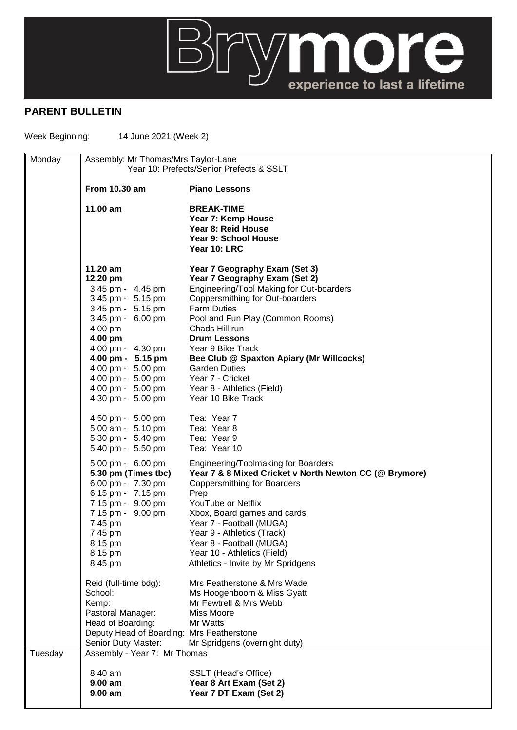

## **PARENT BULLETIN**

Week Beginning: 14 June 2021 (Week 2)

| Monday  | Assembly: Mr Thomas/Mrs Taylor-Lane<br>Year 10: Prefects/Senior Prefects & SSLT |                                                                  |  |
|---------|---------------------------------------------------------------------------------|------------------------------------------------------------------|--|
|         | <b>From 10.30 am</b>                                                            | <b>Piano Lessons</b>                                             |  |
|         |                                                                                 |                                                                  |  |
|         | 11.00 am                                                                        | <b>BREAK-TIME</b>                                                |  |
|         |                                                                                 | Year 7: Kemp House<br>Year 8: Reid House                         |  |
|         |                                                                                 | Year 9: School House                                             |  |
|         |                                                                                 | Year 10: LRC                                                     |  |
|         | $11.20$ am                                                                      | Year 7 Geography Exam (Set 3)                                    |  |
|         | 12.20 pm                                                                        | Year 7 Geography Exam (Set 2)                                    |  |
|         | 3.45 pm - 4.45 pm                                                               | Engineering/Tool Making for Out-boarders                         |  |
|         | 3.45 pm - 5.15 pm                                                               | Coppersmithing for Out-boarders                                  |  |
|         | 3.45 pm - 5.15 pm                                                               | <b>Farm Duties</b>                                               |  |
|         | 3.45 pm - 6.00 pm                                                               | Pool and Fun Play (Common Rooms)                                 |  |
|         | 4.00 pm                                                                         | Chads Hill run                                                   |  |
|         | 4.00 pm                                                                         | <b>Drum Lessons</b>                                              |  |
|         | 4.00 pm - 4.30 pm                                                               | Year 9 Bike Track                                                |  |
|         | 4.00 pm - 5.15 pm<br>4.00 pm - 5.00 pm                                          | Bee Club @ Spaxton Apiary (Mr Willcocks)<br><b>Garden Duties</b> |  |
|         | 4.00 pm - 5.00 pm                                                               | Year 7 - Cricket                                                 |  |
|         | 4.00 pm - 5.00 pm                                                               | Year 8 - Athletics (Field)                                       |  |
|         | 4.30 pm - 5.00 pm                                                               | Year 10 Bike Track                                               |  |
|         | 4.50 pm - 5.00 pm                                                               | Tea: Year 7                                                      |  |
|         | 5.00 am - 5.10 pm                                                               | Tea: Year 8                                                      |  |
|         | 5.30 pm - 5.40 pm                                                               | Tea: Year 9                                                      |  |
|         | 5.40 pm - 5.50 pm                                                               | Tea: Year 10                                                     |  |
|         | 5.00 pm - 6.00 pm                                                               | Engineering/Toolmaking for Boarders                              |  |
|         | 5.30 pm (Times tbc)<br>6.00 pm - 7.30 pm                                        | Year 7 & 8 Mixed Cricket v North Newton CC (@ Brymore)           |  |
|         | 6.15 pm - 7.15 pm                                                               | <b>Coppersmithing for Boarders</b><br>Prep                       |  |
|         | 7.15 pm - 9.00 pm                                                               | YouTube or Netflix                                               |  |
|         | 7.15 pm - 9.00 pm                                                               | Xbox, Board games and cards                                      |  |
|         | 7.45 pm                                                                         | Year 7 - Football (MUGA)                                         |  |
|         | 7.45 pm                                                                         | Year 9 - Athletics (Track)                                       |  |
|         | 8.15 pm                                                                         | Year 8 - Football (MUGA)                                         |  |
|         | 8.15 pm                                                                         | Year 10 - Athletics (Field)                                      |  |
|         | 8.45 pm                                                                         | Athletics - Invite by Mr Spridgens                               |  |
|         | Reid (full-time bdg):                                                           | Mrs Featherstone & Mrs Wade                                      |  |
|         | School:                                                                         | Ms Hoogenboom & Miss Gyatt                                       |  |
|         | Kemp:                                                                           | Mr Fewtrell & Mrs Webb                                           |  |
|         | Pastoral Manager:                                                               | Miss Moore                                                       |  |
|         | Head of Boarding:<br>Deputy Head of Boarding: Mrs Featherstone                  | Mr Watts                                                         |  |
|         | Senior Duty Master:                                                             | Mr Spridgens (overnight duty)                                    |  |
| Tuesday | Assembly - Year 7: Mr Thomas                                                    |                                                                  |  |
|         |                                                                                 |                                                                  |  |
|         | 8.40 am<br>$9.00$ am                                                            | SSLT (Head's Office)<br>Year 8 Art Exam (Set 2)                  |  |
|         | $9.00$ am                                                                       | Year 7 DT Exam (Set 2)                                           |  |
|         |                                                                                 |                                                                  |  |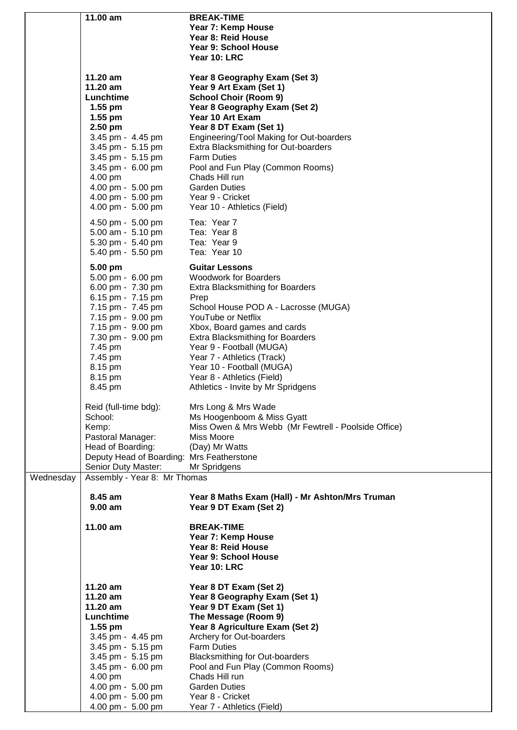|           | 11.00 am                                  | <b>BREAK-TIME</b>                                    |
|-----------|-------------------------------------------|------------------------------------------------------|
|           |                                           | Year 7: Kemp House                                   |
|           |                                           | Year 8: Reid House                                   |
|           |                                           | Year 9: School House                                 |
|           |                                           |                                                      |
|           |                                           | Year 10: LRC                                         |
|           |                                           |                                                      |
|           | 11.20 am                                  | Year 8 Geography Exam (Set 3)                        |
|           | 11.20 am                                  | Year 9 Art Exam (Set 1)                              |
|           | Lunchtime                                 | <b>School Choir (Room 9)</b>                         |
|           | $1.55$ pm                                 | Year 8 Geography Exam (Set 2)                        |
|           | $1.55$ pm                                 | Year 10 Art Exam                                     |
|           | 2.50 pm                                   | Year 8 DT Exam (Set 1)                               |
|           |                                           |                                                      |
|           | 3.45 pm - 4.45 pm                         | Engineering/Tool Making for Out-boarders             |
|           | 3.45 pm - 5.15 pm                         | Extra Blacksmithing for Out-boarders                 |
|           | 3.45 pm - 5.15 pm                         | <b>Farm Duties</b>                                   |
|           | 3.45 pm - 6.00 pm                         | Pool and Fun Play (Common Rooms)                     |
|           | 4.00 pm                                   | Chads Hill run                                       |
|           | 4.00 pm - 5.00 pm                         | <b>Garden Duties</b>                                 |
|           | 4.00 pm - 5.00 pm                         | Year 9 - Cricket                                     |
|           | 4.00 pm - 5.00 pm                         | Year 10 - Athletics (Field)                          |
|           |                                           |                                                      |
|           | 4.50 pm - 5.00 pm                         | Tea: Year 7                                          |
|           | 5.00 am - 5.10 pm                         | Tea: Year 8                                          |
|           | 5.30 pm - 5.40 pm                         | Tea: Year 9                                          |
|           | 5.40 pm - 5.50 pm                         | Tea: Year 10                                         |
|           |                                           |                                                      |
|           | 5.00 pm                                   | <b>Guitar Lessons</b>                                |
|           | 5.00 pm - 6.00 pm                         | <b>Woodwork for Boarders</b>                         |
|           | 6.00 pm - 7.30 pm                         | <b>Extra Blacksmithing for Boarders</b>              |
|           | 6.15 pm - 7.15 pm                         | Prep                                                 |
|           | 7.15 pm - 7.45 pm                         | School House POD A - Lacrosse (MUGA)                 |
|           | 7.15 pm - 9.00 pm                         | YouTube or Netflix                                   |
|           | 7.15 pm - 9.00 pm                         | Xbox, Board games and cards                          |
|           | 7.30 pm - 9.00 pm                         | <b>Extra Blacksmithing for Boarders</b>              |
|           | 7.45 pm                                   | Year 9 - Football (MUGA)                             |
|           | 7.45 pm                                   | Year 7 - Athletics (Track)                           |
|           | 8.15 pm                                   | Year 10 - Football (MUGA)                            |
|           |                                           |                                                      |
|           | 8.15 pm                                   | Year 8 - Athletics (Field)                           |
|           | 8.45 pm                                   | Athletics - Invite by Mr Spridgens                   |
|           |                                           |                                                      |
|           | Reid (full-time bdg):                     | Mrs Long & Mrs Wade                                  |
|           | School:                                   | Ms Hoogenboom & Miss Gyatt                           |
|           | Kemp:                                     | Miss Owen & Mrs Webb (Mr Fewtrell - Poolside Office) |
|           | Pastoral Manager:                         | Miss Moore                                           |
|           | Head of Boarding:                         | (Day) Mr Watts                                       |
|           | Deputy Head of Boarding: Mrs Featherstone |                                                      |
|           | Senior Duty Master:                       | Mr Spridgens                                         |
| Wednesday | Assembly - Year 8: Mr Thomas              |                                                      |
|           |                                           |                                                      |
|           | 8.45 am                                   | Year 8 Maths Exam (Hall) - Mr Ashton/Mrs Truman      |
|           | $9.00$ am                                 | Year 9 DT Exam (Set 2)                               |
|           |                                           |                                                      |
|           | 11.00 am                                  | <b>BREAK-TIME</b>                                    |
|           |                                           | Year 7: Kemp House                                   |
|           |                                           | Year 8: Reid House                                   |
|           |                                           | Year 9: School House                                 |
|           |                                           | Year 10: LRC                                         |
|           |                                           |                                                      |
|           | 11.20 am                                  | Year 8 DT Exam (Set 2)                               |
|           | 11.20 am                                  | Year 8 Geography Exam (Set 1)                        |
|           | $11.20$ am                                | Year 9 DT Exam (Set 1)                               |
|           | Lunchtime                                 | The Message (Room 9)                                 |
|           | $1.55$ pm                                 | Year 8 Agriculture Exam (Set 2)                      |
|           |                                           |                                                      |
|           | 3.45 pm - 4.45 pm                         | Archery for Out-boarders                             |
|           | 3.45 pm - 5.15 pm                         | <b>Farm Duties</b>                                   |
|           | 3.45 pm - 5.15 pm                         | <b>Blacksmithing for Out-boarders</b>                |
|           | 3.45 pm - 6.00 pm                         | Pool and Fun Play (Common Rooms)                     |
|           | 4.00 pm                                   | Chads Hill run                                       |
|           | 4.00 pm - 5.00 pm                         | <b>Garden Duties</b>                                 |
|           | 4.00 pm - 5.00 pm                         | Year 8 - Cricket                                     |
|           | 4.00 pm - 5.00 pm                         | Year 7 - Athletics (Field)                           |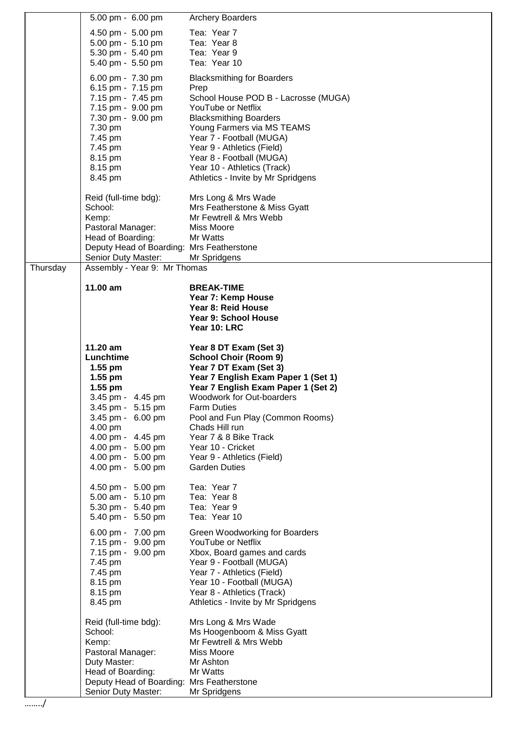|          | 5.00 pm - 6.00 pm                                                                     | <b>Archery Boarders</b>                                                    |
|----------|---------------------------------------------------------------------------------------|----------------------------------------------------------------------------|
|          | 4.50 pm - 5.00 pm                                                                     | Tea: Year 7                                                                |
|          | 5.00 pm - 5.10 pm                                                                     | Tea: Year 8                                                                |
|          | 5.30 pm - 5.40 pm<br>5.40 pm - 5.50 pm                                                | Tea: Year 9<br>Tea: Year 10                                                |
|          |                                                                                       |                                                                            |
|          | 6.00 pm - 7.30 pm<br>6.15 pm - 7.15 pm                                                | <b>Blacksmithing for Boarders</b><br>Prep                                  |
|          | 7.15 pm - 7.45 pm                                                                     | School House POD B - Lacrosse (MUGA)                                       |
|          | 7.15 pm - 9.00 pm                                                                     | YouTube or Netflix                                                         |
|          | 7.30 pm - 9.00 pm                                                                     | <b>Blacksmithing Boarders</b>                                              |
|          | 7.30 pm                                                                               | Young Farmers via MS TEAMS<br>Year 7 - Football (MUGA)                     |
|          | 7.45 pm<br>7.45 pm                                                                    | Year 9 - Athletics (Field)                                                 |
|          | 8.15 pm                                                                               | Year 8 - Football (MUGA)                                                   |
|          | 8.15 pm                                                                               | Year 10 - Athletics (Track)                                                |
|          | 8.45 pm                                                                               | Athletics - Invite by Mr Spridgens                                         |
|          | Reid (full-time bdg):                                                                 | Mrs Long & Mrs Wade                                                        |
|          | School:                                                                               | Mrs Featherstone & Miss Gyatt                                              |
|          | Kemp:<br>Pastoral Manager:                                                            | Mr Fewtrell & Mrs Webb<br><b>Miss Moore</b>                                |
|          | Head of Boarding:                                                                     | Mr Watts                                                                   |
|          | Deputy Head of Boarding: Mrs Featherstone                                             |                                                                            |
|          | Senior Duty Master:                                                                   | Mr Spridgens                                                               |
| Thursday | Assembly - Year 9: Mr Thomas                                                          |                                                                            |
|          | 11.00 am                                                                              | <b>BREAK-TIME</b>                                                          |
|          |                                                                                       | Year 7: Kemp House<br>Year 8: Reid House                                   |
|          |                                                                                       | Year 9: School House                                                       |
|          |                                                                                       | Year 10: LRC                                                               |
|          | 11.20 am                                                                              | Year 8 DT Exam (Set 3)                                                     |
|          | Lunchtime                                                                             | <b>School Choir (Room 9)</b>                                               |
|          | $1.55$ pm                                                                             | Year 7 DT Exam (Set 3)                                                     |
|          | $1.55$ pm<br>$1.55$ pm                                                                | Year 7 English Exam Paper 1 (Set 1)<br>Year 7 English Exam Paper 1 (Set 2) |
|          | 3.45 pm - 4.45 pm                                                                     | Woodwork for Out-boarders                                                  |
|          | 3.45 pm - 5.15 pm                                                                     | <b>Farm Duties</b>                                                         |
|          | 3.45 pm - 6.00 pm                                                                     | Pool and Fun Play (Common Rooms)                                           |
|          | 4.00 pm<br>4.00 pm - 4.45 pm                                                          | Chads Hill run<br>Year 7 & 8 Bike Track                                    |
|          | 4.00 pm - 5.00 pm                                                                     | Year 10 - Cricket                                                          |
|          | 4.00 pm - 5.00 pm                                                                     | Year 9 - Athletics (Field)                                                 |
|          | 4.00 pm - 5.00 pm                                                                     | <b>Garden Duties</b>                                                       |
|          | 4.50 pm - 5.00 pm                                                                     | Tea: Year 7                                                                |
|          | 5.00 am - 5.10 pm                                                                     | Tea: Year 8                                                                |
|          | 5.30 pm - 5.40 pm<br>5.40 pm - 5.50 pm                                                | Tea: Year 9<br>Tea: Year 10                                                |
|          |                                                                                       |                                                                            |
|          | 6.00 pm - 7.00 pm<br>7.15 pm - 9.00 pm                                                | Green Woodworking for Boarders<br>YouTube or Netflix                       |
|          | 7.15 pm - 9.00 pm                                                                     | Xbox, Board games and cards                                                |
|          | 7.45 pm                                                                               | Year 9 - Football (MUGA)                                                   |
|          | 7.45 pm<br>8.15 pm                                                                    | Year 7 - Athletics (Field)<br>Year 10 - Football (MUGA)                    |
|          | 8.15 pm                                                                               | Year 8 - Athletics (Track)                                                 |
|          | 8.45 pm                                                                               | Athletics - Invite by Mr Spridgens                                         |
|          | Reid (full-time bdg):                                                                 | Mrs Long & Mrs Wade                                                        |
|          | School:                                                                               | Ms Hoogenboom & Miss Gyatt                                                 |
|          | Kemp:                                                                                 | Mr Fewtrell & Mrs Webb                                                     |
|          | Pastoral Manager:                                                                     | Miss Moore<br>Mr Ashton                                                    |
|          |                                                                                       |                                                                            |
|          | Duty Master:                                                                          |                                                                            |
|          | Head of Boarding:<br>Deputy Head of Boarding: Mrs Featherstone<br>Senior Duty Master: | Mr Watts<br>Mr Spridgens                                                   |